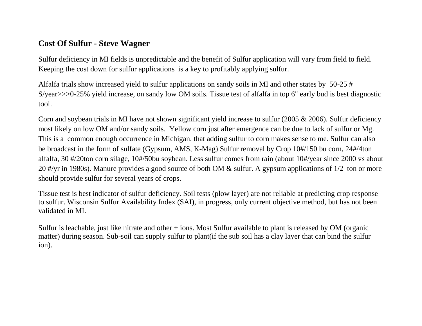## **Cost Of Sulfur - Steve Wagner**

Sulfur deficiency in MI fields is unpredictable and the benefit of Sulfur application will vary from field to field. Keeping the cost down for sulfur applications is a key to profitably applying sulfur.

Alfalfa trials show increased yield to sulfur applications on sandy soils in MI and other states by 50-25 # S/year>>>0-25% yield increase, on sandy low OM soils. Tissue test of alfalfa in top 6" early bud is best diagnostic tool.

Corn and soybean trials in MI have not shown significant yield increase to sulfur (2005 & 2006). Sulfur deficiency most likely on low OM and/or sandy soils. Yellow corn just after emergence can be due to lack of sulfur or Mg. This is a common enough occurrence in Michigan, that adding sulfur to corn makes sense to me. Sulfur can also be broadcast in the form of sulfate (Gypsum, AMS, K-Mag) Sulfur removal by Crop 10#/150 bu corn, 24#/4ton alfalfa, 30 #/20ton corn silage, 10#/50bu soybean. Less sulfur comes from rain (about 10#/year since 2000 vs about 20 #/yr in 1980s). Manure provides a good source of both OM & sulfur. A gypsum applications of 1/2 ton or more should provide sulfur for several years of crops.

Tissue test is best indicator of sulfur deficiency. Soil tests (plow layer) are not reliable at predicting crop response to sulfur. Wisconsin Sulfur Availability Index (SAI), in progress, only current objective method, but has not been validated in MI.

Sulfur is leachable, just like nitrate and other + ions. Most Sulfur available to plant is released by OM (organic matter) during season. Sub-soil can supply sulfur to plant(if the sub soil has a clay layer that can bind the sulfur ion).